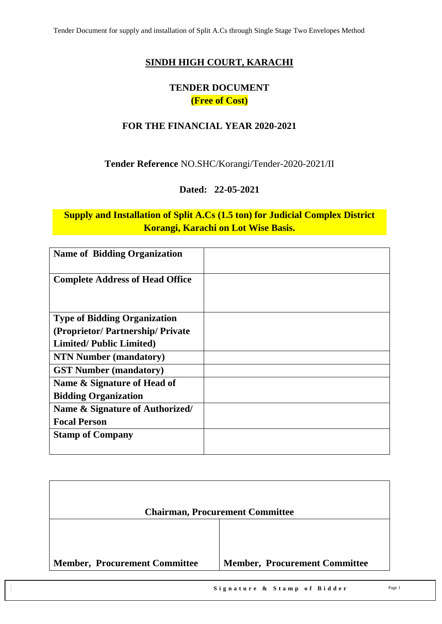### **SINDH HIGH COURT, KARACHI**

# **TENDER DOCUMENT (Free of Cost)**

### **FOR THE FINANCIAL YEAR 2020-2021**

### **Tender Reference** NO.SHC/Korangi/Tender-2020-2021/II

#### **Dated: 22-05-2021**

# **Supply and Installation of Split A.Cs (1.5 ton) for Judicial Complex District Korangi, Karachi on Lot Wise Basis.**

| <b>Name of Bidding Organization</b>    |  |
|----------------------------------------|--|
| <b>Complete Address of Head Office</b> |  |
| <b>Type of Bidding Organization</b>    |  |
| (Proprietor/Partnership/Private)       |  |
| <b>Limited/Public Limited)</b>         |  |
| <b>NTN Number (mandatory)</b>          |  |
| <b>GST Number (mandatory)</b>          |  |
| Name & Signature of Head of            |  |
| <b>Bidding Organization</b>            |  |
| Name & Signature of Authorized/        |  |
| <b>Focal Person</b>                    |  |
| <b>Stamp of Company</b>                |  |
|                                        |  |

|                                      | <b>Chairman, Procurement Committee</b> |
|--------------------------------------|----------------------------------------|
|                                      |                                        |
| <b>Member, Procurement Committee</b> | <b>Member, Procurement Committee</b>   |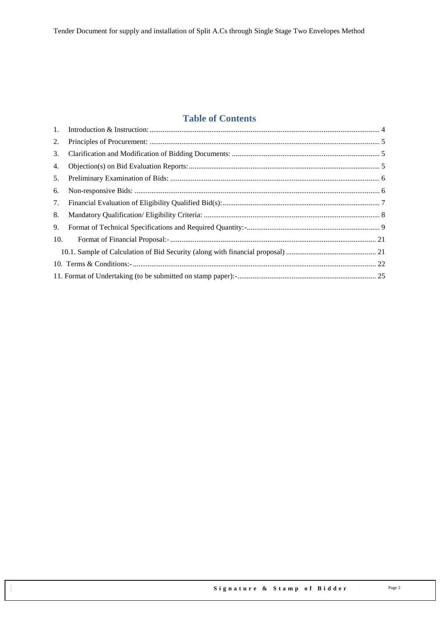# **Table of Contents**

| 1.  |  |
|-----|--|
| 2.  |  |
| 3.  |  |
| 4.  |  |
| 5.  |  |
| 6.  |  |
| 7.  |  |
| 8.  |  |
| 9.  |  |
| 10. |  |
|     |  |
|     |  |
|     |  |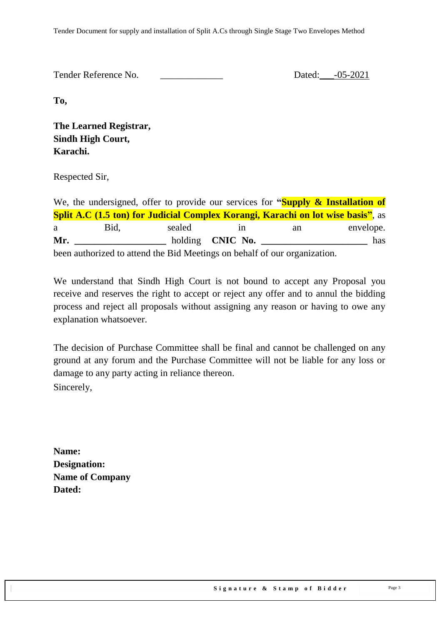Tender Reference No. 20021

**To,** 

**The Learned Registrar, Sindh High Court, Karachi.**

Respected Sir,

We, the undersigned, offer to provide our services for **"Supply & Installation of Split A.C (1.5 ton) for Judicial Complex Korangi, Karachi on lot wise basis"**, as a Bid, sealed in an envelope. **Mr.**  $\qquad \qquad \text{holding} \quad \text{CNIC No.}$  has been authorized to attend the Bid Meetings on behalf of our organization.

We understand that Sindh High Court is not bound to accept any Proposal you receive and reserves the right to accept or reject any offer and to annul the bidding process and reject all proposals without assigning any reason or having to owe any explanation whatsoever.

The decision of Purchase Committee shall be final and cannot be challenged on any ground at any forum and the Purchase Committee will not be liable for any loss or damage to any party acting in reliance thereon. Sincerely,

**Name: Designation: Name of Company Dated:**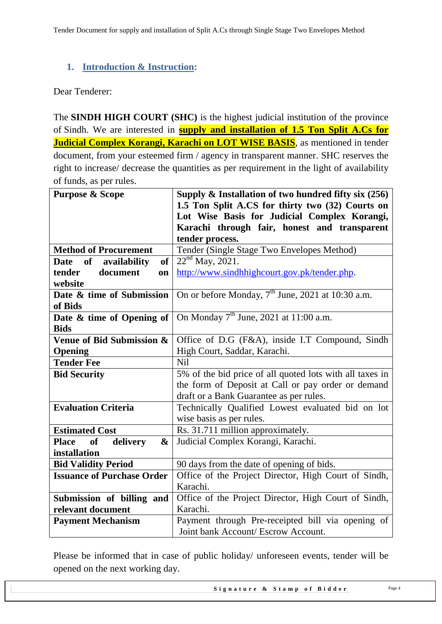# <span id="page-3-0"></span>**1. Introduction & Instruction:**

#### Dear Tenderer:

The **SINDH HIGH COURT (SHC)** is the highest judicial institution of the province of [Sindh.](https://en.wikipedia.org/wiki/Sindh) We are interested in **supply and installation of 1.5 Ton Split A.Cs for Judicial Complex Korangi, Karachi on LOT WISE BASIS**, as mentioned in tender document, from your esteemed firm / agency in transparent manner. SHC reserves the right to increase/ decrease the quantities as per requirement in the light of availability of funds, as per rules.

| <b>Purpose &amp; Scope</b>                 | Supply $\&$ Installation of two hundred fifty six (256)       |
|--------------------------------------------|---------------------------------------------------------------|
|                                            | 1.5 Ton Split A.CS for thirty two (32) Courts on              |
|                                            | Lot Wise Basis for Judicial Complex Korangi,                  |
|                                            | Karachi through fair, honest and transparent                  |
|                                            | tender process.                                               |
| <b>Method of Procurement</b>               | Tender (Single Stage Two Envelopes Method)                    |
| Date of<br>availability<br>of              | $22^{nd}$ May, 2021.                                          |
| tender<br>document<br>on                   | http://www.sindhhighcourt.gov.pk/tender.php.                  |
| website                                    |                                                               |
| Date & time of Submission                  | On or before Monday, 7 <sup>th</sup> June, 2021 at 10:30 a.m. |
| of Bids                                    |                                                               |
| Date & time of Opening of                  | On Monday $7th$ June, 2021 at 11:00 a.m.                      |
| <b>Bids</b>                                |                                                               |
| Venue of Bid Submission &                  | Office of D.G (F&A), inside I.T Compound, Sindh               |
| Opening                                    | High Court, Saddar, Karachi.                                  |
| <b>Tender Fee</b>                          | <b>Nil</b>                                                    |
| <b>Bid Security</b>                        | 5% of the bid price of all quoted lots with all taxes in      |
|                                            | the form of Deposit at Call or pay order or demand            |
|                                            | draft or a Bank Guarantee as per rules.                       |
| <b>Evaluation Criteria</b>                 | Technically Qualified Lowest evaluated bid on lot             |
|                                            | wise basis as per rules.                                      |
| <b>Estimated Cost</b>                      | Rs. 31.711 million approximately.                             |
| <b>Place</b><br>delivery<br><b>of</b><br>& | Judicial Complex Korangi, Karachi.                            |
| installation                               |                                                               |
| <b>Bid Validity Period</b>                 | 90 days from the date of opening of bids.                     |
| <b>Issuance of Purchase Order</b>          | Office of the Project Director, High Court of Sindh,          |
|                                            | Karachi.                                                      |
| Submission of billing and                  | Office of the Project Director, High Court of Sindh,          |
| relevant document                          | Karachi.                                                      |
| <b>Payment Mechanism</b>                   | Payment through Pre-receipted bill via opening of             |
|                                            | Joint bank Account/ Escrow Account.                           |

Please be informed that in case of public holiday/ unforeseen events, tender will be opened on the next working day.

Signature & Stamp of Bidder Page 4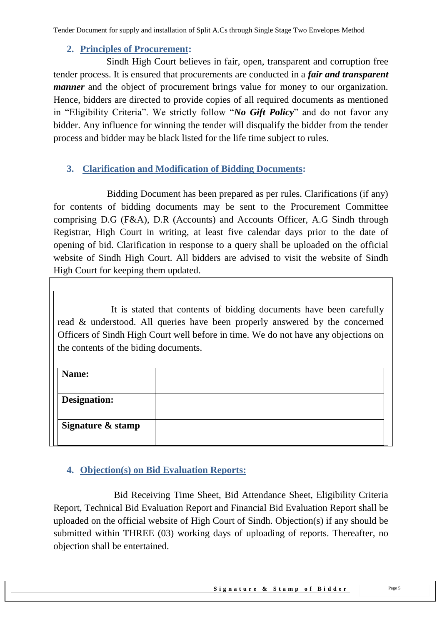### **2. Principles of Procurement:**

<span id="page-4-0"></span> Sindh High Court believes in fair, open, transparent and corruption free tender process. It is ensured that procurements are conducted in a *fair and transparent manner* and the object of procurement brings value for money to our organization. Hence, bidders are directed to provide copies of all required documents as mentioned in "Eligibility Criteria". We strictly follow "*No Gift Policy*" and do not favor any bidder. Any influence for winning the tender will disqualify the bidder from the tender process and bidder may be black listed for the life time subject to rules.

# <span id="page-4-1"></span>**3. Clarification and Modification of Bidding Documents:**

Bidding Document has been prepared as per rules. Clarifications (if any) for contents of bidding documents may be sent to the Procurement Committee comprising D.G (F&A), D.R (Accounts) and Accounts Officer, A.G Sindh through Registrar, High Court in writing, at least five calendar days prior to the date of opening of bid. Clarification in response to a query shall be uploaded on the official website of Sindh High Court. All bidders are advised to visit the website of Sindh High Court for keeping them updated.

It is stated that contents of bidding documents have been carefully read & understood. All queries have been properly answered by the concerned Officers of Sindh High Court well before in time. We do not have any objections on the contents of the biding documents.

# <span id="page-4-2"></span>**4. Objection(s) on Bid Evaluation Reports:**

 Bid Receiving Time Sheet, Bid Attendance Sheet, Eligibility Criteria Report, Technical Bid Evaluation Report and Financial Bid Evaluation Report shall be uploaded on the official website of High Court of Sindh. Objection(s) if any should be submitted within THREE (03) working days of uploading of reports. Thereafter, no objection shall be entertained.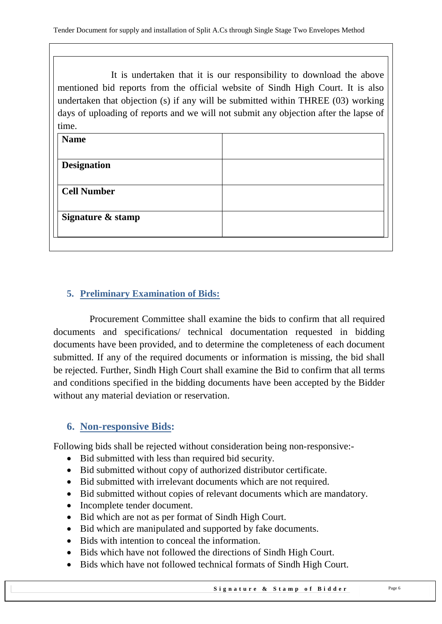It is undertaken that it is our responsibility to download the above mentioned bid reports from the official website of Sindh High Court. It is also undertaken that objection (s) if any will be submitted within THREE (03) working days of uploading of reports and we will not submit any objection after the lapse of time.

| <b>Name</b>        |  |
|--------------------|--|
| <b>Designation</b> |  |
| <b>Cell Number</b> |  |
| Signature & stamp  |  |
|                    |  |

# <span id="page-5-0"></span>**5. Preliminary Examination of Bids:**

 Procurement Committee shall examine the bids to confirm that all required documents and specifications/ technical documentation requested in bidding documents have been provided, and to determine the completeness of each document submitted. If any of the required documents or information is missing, the bid shall be rejected. Further, Sindh High Court shall examine the Bid to confirm that all terms and conditions specified in the bidding documents have been accepted by the Bidder without any material deviation or reservation.

# <span id="page-5-1"></span>**6. Non-responsive Bids:**

Following bids shall be rejected without consideration being non-responsive:-

- Bid submitted with less than required bid security.
- Bid submitted without copy of authorized distributor certificate.
- Bid submitted with irrelevant documents which are not required.
- Bid submitted without copies of relevant documents which are mandatory.
- Incomplete tender document.
- Bid which are not as per format of Sindh High Court.
- Bid which are manipulated and supported by fake documents.
- Bids with intention to conceal the information.
- Bids which have not followed the directions of Sindh High Court.
- Bids which have not followed technical formats of Sindh High Court.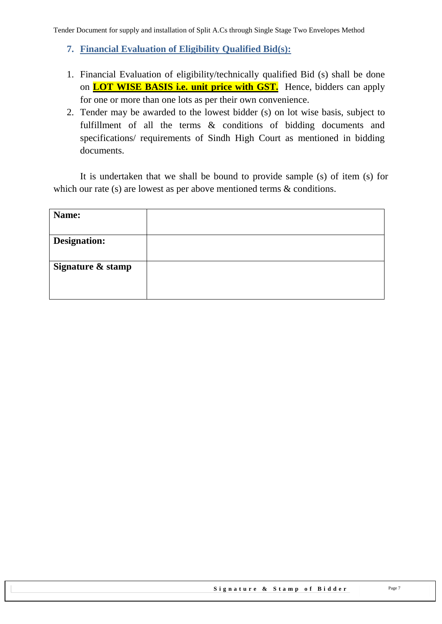- <span id="page-6-0"></span>**7. Financial Evaluation of Eligibility Qualified Bid(s):**
- 1. Financial Evaluation of eligibility/technically qualified Bid (s) shall be done on **LOT WISE BASIS i.e. unit price with GST.** Hence, bidders can apply for one or more than one lots as per their own convenience.
- 2. Tender may be awarded to the lowest bidder (s) on lot wise basis, subject to fulfillment of all the terms & conditions of bidding documents and specifications/ requirements of Sindh High Court as mentioned in bidding documents.

It is undertaken that we shall be bound to provide sample (s) of item (s) for which our rate (s) are lowest as per above mentioned terms & conditions.

| Name:               |  |
|---------------------|--|
|                     |  |
| <b>Designation:</b> |  |
| Signature & stamp   |  |
|                     |  |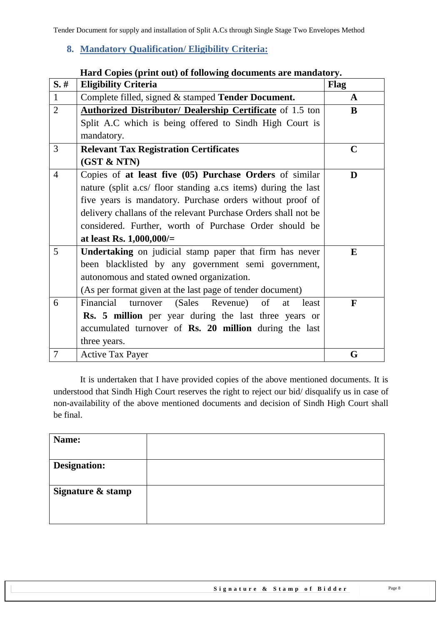# <span id="page-7-0"></span>**8. Mandatory Qualification/ Eligibility Criteria:**

|                | Hard Copies (print out) of following documents are mandatory.  |              |  |  |
|----------------|----------------------------------------------------------------|--------------|--|--|
| $S.$ #         | <b>Eligibility Criteria</b>                                    | <b>Flag</b>  |  |  |
| $\mathbf{1}$   | Complete filled, signed & stamped Tender Document.             | A            |  |  |
| $\overline{2}$ | Authorized Distributor/ Dealership Certificate of 1.5 ton      | B            |  |  |
|                | Split A.C which is being offered to Sindh High Court is        |              |  |  |
|                | mandatory.                                                     |              |  |  |
| 3              | <b>Relevant Tax Registration Certificates</b>                  | $\mathbf C$  |  |  |
|                | (GST & NTN)                                                    |              |  |  |
| $\overline{4}$ | Copies of at least five (05) Purchase Orders of similar        | D            |  |  |
|                | nature (split a.cs/ floor standing a.cs items) during the last |              |  |  |
|                | five years is mandatory. Purchase orders without proof of      |              |  |  |
|                | delivery challans of the relevant Purchase Orders shall not be |              |  |  |
|                | considered. Further, worth of Purchase Order should be         |              |  |  |
|                | at least Rs. $1,000,000/=$                                     |              |  |  |
| 5              | <b>Undertaking</b> on judicial stamp paper that firm has never | E            |  |  |
|                | been blacklisted by any government semi government,            |              |  |  |
|                | autonomous and stated owned organization.                      |              |  |  |
|                | (As per format given at the last page of tender document)      |              |  |  |
| 6              | Financial<br>(Sales Revenue)<br>turnover<br>of<br>at<br>least  | $\mathbf{F}$ |  |  |
|                | Rs. 5 million per year during the last three years or          |              |  |  |
|                | accumulated turnover of Rs. 20 million during the last         |              |  |  |
|                | three years.                                                   |              |  |  |
| $\overline{7}$ | <b>Active Tax Payer</b>                                        | G            |  |  |

#### **Hard Copies (print out) of following documents are mandatory.**

It is undertaken that I have provided copies of the above mentioned documents. It is understood that Sindh High Court reserves the right to reject our bid/ disqualify us in case of non-availability of the above mentioned documents and decision of Sindh High Court shall be final.

| Name:               |  |
|---------------------|--|
| <b>Designation:</b> |  |
| Signature & stamp   |  |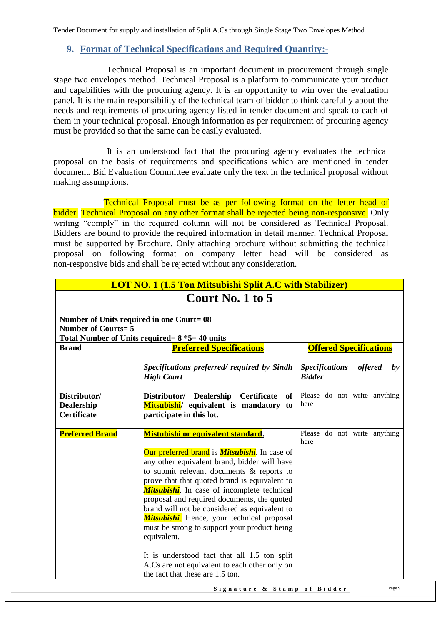#### <span id="page-8-0"></span>**9. Format of Technical Specifications and Required Quantity:-**

Technical Proposal is an important document in procurement through single stage two envelopes method. Technical Proposal is a platform to communicate your product and capabilities with the procuring agency. It is an opportunity to win over the evaluation panel. It is the main responsibility of the technical team of bidder to think carefully about the needs and requirements of procuring agency listed in tender document and speak to each of them in your technical proposal. Enough information as per requirement of procuring agency must be provided so that the same can be easily evaluated.

It is an understood fact that the procuring agency evaluates the technical proposal on the basis of requirements and specifications which are mentioned in tender document. Bid Evaluation Committee evaluate only the text in the technical proposal without making assumptions.

Technical Proposal must be as per following format on the letter head of bidder. Technical Proposal on any other format shall be rejected being non-responsive. Only writing "comply" in the required column will not be considered as Technical Proposal. Bidders are bound to provide the required information in detail manner. Technical Proposal must be supported by Brochure. Only attaching brochure without submitting the technical proposal on following format on company letter head will be considered as non-responsive bids and shall be rejected without any consideration.

| <b>LOT NO. 1 (1.5 Ton Mitsubishi Split A.C with Stabilizer)</b>                        |                                                                                                                                                                                                                                                                                                                                                                                                                                                                                                                                                                                                                                                           |                                                                |  |  |  |  |
|----------------------------------------------------------------------------------------|-----------------------------------------------------------------------------------------------------------------------------------------------------------------------------------------------------------------------------------------------------------------------------------------------------------------------------------------------------------------------------------------------------------------------------------------------------------------------------------------------------------------------------------------------------------------------------------------------------------------------------------------------------------|----------------------------------------------------------------|--|--|--|--|
|                                                                                        | Court No. 1 to 5                                                                                                                                                                                                                                                                                                                                                                                                                                                                                                                                                                                                                                          |                                                                |  |  |  |  |
| Number of Units required in one Court= 08<br><b>Number of Courts=5</b><br><b>Brand</b> | Total Number of Units required = $8 *5 = 40$ units<br><b>Preferred Specifications</b>                                                                                                                                                                                                                                                                                                                                                                                                                                                                                                                                                                     | <b>Offered Specifications</b>                                  |  |  |  |  |
|                                                                                        | Specifications preferred/ required by Sindh<br><b>High Court</b>                                                                                                                                                                                                                                                                                                                                                                                                                                                                                                                                                                                          | <b>Specifications</b><br><i>offered</i><br>by<br><b>Bidder</b> |  |  |  |  |
| Distributor/<br><b>Dealership</b><br><b>Certificate</b>                                | Distributor/ Dealership Certificate<br>of<br>Mitsubishi/ equivalent is mandatory to<br>participate in this lot.                                                                                                                                                                                                                                                                                                                                                                                                                                                                                                                                           | Please do not write anything<br>here                           |  |  |  |  |
| <b>Preferred Brand</b>                                                                 | Mistubishi or equivalent standard.<br>Our preferred brand is <b>Mitsubishi</b> . In case of<br>any other equivalent brand, bidder will have<br>to submit relevant documents & reports to<br>prove that that quoted brand is equivalent to<br><b>Mitsubishi</b> . In case of incomplete technical<br>proposal and required documents, the quoted<br>brand will not be considered as equivalent to<br><b>Mitsubishi.</b> Hence, your technical proposal<br>must be strong to support your product being<br>equivalent.<br>It is understood fact that all 1.5 ton split<br>A.Cs are not equivalent to each other only on<br>the fact that these are 1.5 ton. | Please do not write anything<br>here                           |  |  |  |  |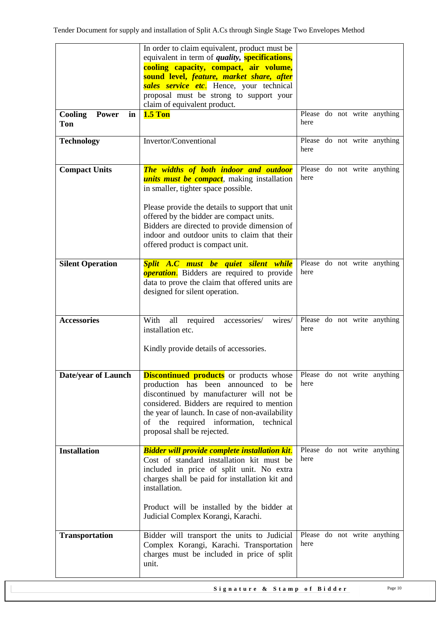| Cooling<br><b>Power</b><br>in<br>Ton<br><b>Technology</b> | In order to claim equivalent, product must be<br>equivalent in term of <i>quality</i> , <b>specifications</b> ,<br>cooling capacity, compact, air volume,<br>sound level, feature, market share, after<br>sales service etc. Hence, your technical<br>proposal must be strong to support your<br>claim of equivalent product.<br><b>1.5 Ton</b><br>Invertor/Conventional | here |  | Please do not write anything<br>Please do not write anything |
|-----------------------------------------------------------|--------------------------------------------------------------------------------------------------------------------------------------------------------------------------------------------------------------------------------------------------------------------------------------------------------------------------------------------------------------------------|------|--|--------------------------------------------------------------|
|                                                           |                                                                                                                                                                                                                                                                                                                                                                          | here |  |                                                              |
| <b>Compact Units</b>                                      | The widths of both indoor and outdoor<br><i>units must be compact</i> , making installation<br>in smaller, tighter space possible.<br>Please provide the details to support that unit<br>offered by the bidder are compact units.<br>Bidders are directed to provide dimension of<br>indoor and outdoor units to claim that their<br>offered product is compact unit.    | here |  | Please do not write anything                                 |
| <b>Silent Operation</b>                                   | Split A.C must be quiet silent while<br><b>operation.</b> Bidders are required to provide<br>data to prove the claim that offered units are<br>designed for silent operation.                                                                                                                                                                                            | here |  | Please do not write anything                                 |
| <b>Accessories</b>                                        | all<br>With<br>required<br>accessories/<br>wires/<br>installation etc.<br>Kindly provide details of accessories.                                                                                                                                                                                                                                                         | here |  | Please do not write anything                                 |
| Date/year of Launch                                       | <b>Discontinued products</b> or products whose<br>production has been announced<br>to<br>be<br>discontinued by manufacturer will not be<br>considered. Bidders are required to mention<br>the year of launch. In case of non-availability<br>of the required information, technical<br>proposal shall be rejected.                                                       | here |  | Please do not write anything                                 |
| <b>Installation</b>                                       | <b>Bidder will provide complete installation kit.</b><br>Cost of standard installation kit must be<br>included in price of split unit. No extra<br>charges shall be paid for installation kit and<br>installation.<br>Product will be installed by the bidder at<br>Judicial Complex Korangi, Karachi.                                                                   | here |  | Please do not write anything                                 |
| <b>Transportation</b>                                     | Bidder will transport the units to Judicial<br>Complex Korangi, Karachi. Transportation<br>charges must be included in price of split<br>unit.                                                                                                                                                                                                                           | here |  | Please do not write anything                                 |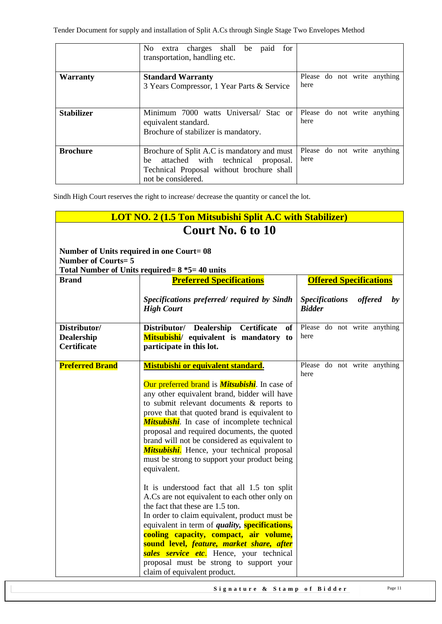|                   | No.<br>extra charges shall be paid<br>for<br>transportation, handling etc. |      |  |                              |
|-------------------|----------------------------------------------------------------------------|------|--|------------------------------|
| <b>Warranty</b>   | <b>Standard Warranty</b>                                                   |      |  | Please do not write anything |
|                   | 3 Years Compressor, 1 Year Parts & Service                                 | here |  |                              |
| <b>Stabilizer</b> | Minimum 7000 watts Universal/ Stac or                                      |      |  | Please do not write anything |
|                   | equivalent standard.                                                       | here |  |                              |
|                   | Brochure of stabilizer is mandatory.                                       |      |  |                              |
| <b>Brochure</b>   | Brochure of Split A.C is mandatory and must                                |      |  | Please do not write anything |
|                   | attached with technical<br>be<br>proposal.                                 | here |  |                              |
|                   | Technical Proposal without brochure shall                                  |      |  |                              |
|                   | not be considered.                                                         |      |  |                              |

| <b>LOT NO. 2 (1.5 Ton Mitsubishi Split A.C with Stabilizer)</b> |                                                                                                                                                                                                                                                                                                                                                                                                                                                                                                                                                                                                                                                                                                                                                                                                                                                                                                                                                                                            |                                                                   |  |  |  |  |  |
|-----------------------------------------------------------------|--------------------------------------------------------------------------------------------------------------------------------------------------------------------------------------------------------------------------------------------------------------------------------------------------------------------------------------------------------------------------------------------------------------------------------------------------------------------------------------------------------------------------------------------------------------------------------------------------------------------------------------------------------------------------------------------------------------------------------------------------------------------------------------------------------------------------------------------------------------------------------------------------------------------------------------------------------------------------------------------|-------------------------------------------------------------------|--|--|--|--|--|
|                                                                 | Court No. 6 to 10                                                                                                                                                                                                                                                                                                                                                                                                                                                                                                                                                                                                                                                                                                                                                                                                                                                                                                                                                                          |                                                                   |  |  |  |  |  |
| <b>Number of Courts=5</b>                                       | Number of Units required in one Court=08<br>Total Number of Units required = $8 *5 = 40$ units                                                                                                                                                                                                                                                                                                                                                                                                                                                                                                                                                                                                                                                                                                                                                                                                                                                                                             |                                                                   |  |  |  |  |  |
| <b>Brand</b>                                                    | <b>Preferred Specifications</b>                                                                                                                                                                                                                                                                                                                                                                                                                                                                                                                                                                                                                                                                                                                                                                                                                                                                                                                                                            | <b>Offered Specifications</b>                                     |  |  |  |  |  |
|                                                                 | Specifications preferred/ required by Sindh<br><b>High Court</b>                                                                                                                                                                                                                                                                                                                                                                                                                                                                                                                                                                                                                                                                                                                                                                                                                                                                                                                           | offered<br><b>Specifications</b><br>$\mathbf{b}$<br><b>Bidder</b> |  |  |  |  |  |
| Distributor/<br>Dealership<br><b>Certificate</b>                | Distributor/ Dealership<br><b>Certificate</b><br><b>of</b><br>Mitsubishi/ equivalent is mandatory to<br>participate in this lot.                                                                                                                                                                                                                                                                                                                                                                                                                                                                                                                                                                                                                                                                                                                                                                                                                                                           | Please do not write anything<br>here                              |  |  |  |  |  |
| <b>Preferred Brand</b>                                          | Mistubishi or equivalent standard.<br>Our preferred brand is <i>Mitsubishi</i> . In case of<br>any other equivalent brand, bidder will have<br>to submit relevant documents & reports to<br>prove that that quoted brand is equivalent to<br><b>Mitsubishi</b> . In case of incomplete technical<br>proposal and required documents, the quoted<br>brand will not be considered as equivalent to<br><b>Mitsubishi.</b> Hence, your technical proposal<br>must be strong to support your product being<br>equivalent.<br>It is understood fact that all 1.5 ton split<br>A.Cs are not equivalent to each other only on<br>the fact that these are 1.5 ton.<br>In order to claim equivalent, product must be<br>equivalent in term of <i>quality</i> , <b>specifications</b> ,<br>cooling capacity, compact, air volume,<br>sound level, feature, market share, after<br>sales service etc. Hence, your technical<br>proposal must be strong to support your<br>claim of equivalent product. | Please do not write anything<br>here                              |  |  |  |  |  |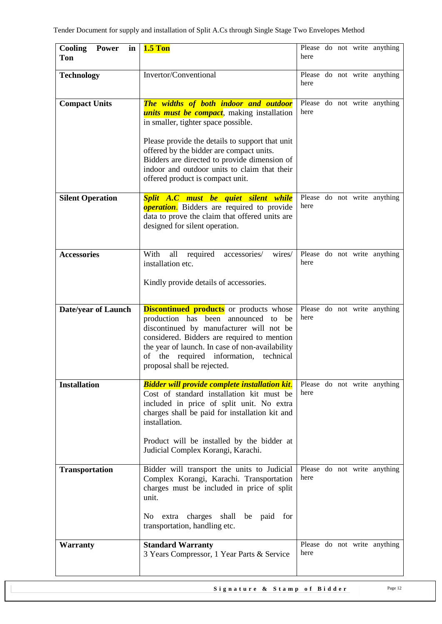| Cooling<br><b>Power</b><br>in<br>Ton | <b>1.5 Ton</b>                                                                                                                                                                                                                                                                                                                                                        | here |  | Please do not write anything |
|--------------------------------------|-----------------------------------------------------------------------------------------------------------------------------------------------------------------------------------------------------------------------------------------------------------------------------------------------------------------------------------------------------------------------|------|--|------------------------------|
| <b>Technology</b>                    | Invertor/Conventional                                                                                                                                                                                                                                                                                                                                                 | here |  | Please do not write anything |
| <b>Compact Units</b>                 | The widths of both indoor and outdoor<br><i>units must be compact</i> , making installation<br>in smaller, tighter space possible.<br>Please provide the details to support that unit<br>offered by the bidder are compact units.<br>Bidders are directed to provide dimension of<br>indoor and outdoor units to claim that their<br>offered product is compact unit. | here |  | Please do not write anything |
| <b>Silent Operation</b>              | Split A.C must be quiet silent while<br><b>operation</b> . Bidders are required to provide<br>data to prove the claim that offered units are<br>designed for silent operation.                                                                                                                                                                                        | here |  | Please do not write anything |
| <b>Accessories</b>                   | all<br>required<br>accessories/<br>With<br>wires/<br>installation etc.<br>Kindly provide details of accessories.                                                                                                                                                                                                                                                      | here |  | Please do not write anything |
| <b>Date/year of Launch</b>           | <b>Discontinued products</b> or products whose<br>production has been announced<br>to<br>be<br>discontinued by manufacturer will not be<br>considered. Bidders are required to mention<br>the year of launch. In case of non-availability<br>of the required information,<br>technical<br>proposal shall be rejected.                                                 | here |  | Please do not write anything |
| <b>Installation</b>                  | <b>Bidder</b> will provide complete installation kit.<br>Cost of standard installation kit must be<br>included in price of split unit. No extra<br>charges shall be paid for installation kit and<br>installation.<br>Product will be installed by the bidder at<br>Judicial Complex Korangi, Karachi.                                                                | here |  | Please do not write anything |
| <b>Transportation</b>                | Bidder will transport the units to Judicial<br>Complex Korangi, Karachi. Transportation<br>charges must be included in price of split<br>unit.<br>extra charges shall be paid for<br>No<br>transportation, handling etc.                                                                                                                                              | here |  | Please do not write anything |
| <b>Warranty</b>                      | <b>Standard Warranty</b><br>3 Years Compressor, 1 Year Parts & Service                                                                                                                                                                                                                                                                                                | here |  | Please do not write anything |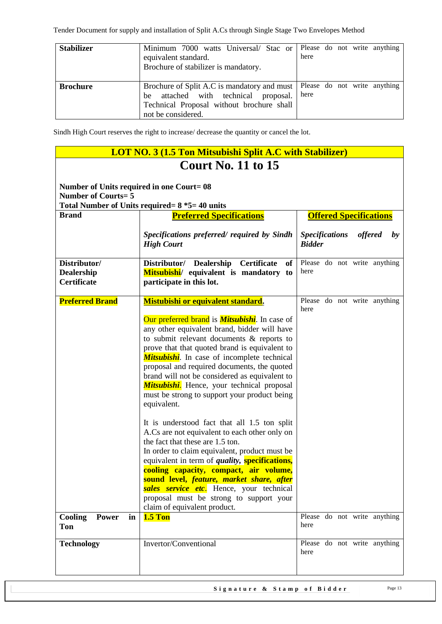| <b>Stabilizer</b> | Minimum 7000 watts Universal/ Stac or Please do not write anything<br>equivalent standard.<br>Brochure of stabilizer is mandatory.                     | here |  |                              |
|-------------------|--------------------------------------------------------------------------------------------------------------------------------------------------------|------|--|------------------------------|
| <b>Brochure</b>   | Brochure of Split A.C is mandatory and must<br>be attached with technical proposal.<br>Technical Proposal without brochure shall<br>not be considered. | here |  | Please do not write anything |

|                                                                        | <b>LOT NO. 3 (1.5 Ton Mitsubishi Split A.C with Stabilizer)</b>                                                                                                                                                                                                                                                                                                                                                                                                                                                                                                                                                                                                                                                                                                                                                                                                                                                                                            |                                                                |  |  |  |  |  |
|------------------------------------------------------------------------|------------------------------------------------------------------------------------------------------------------------------------------------------------------------------------------------------------------------------------------------------------------------------------------------------------------------------------------------------------------------------------------------------------------------------------------------------------------------------------------------------------------------------------------------------------------------------------------------------------------------------------------------------------------------------------------------------------------------------------------------------------------------------------------------------------------------------------------------------------------------------------------------------------------------------------------------------------|----------------------------------------------------------------|--|--|--|--|--|
|                                                                        | Court No. $11$ to $15$                                                                                                                                                                                                                                                                                                                                                                                                                                                                                                                                                                                                                                                                                                                                                                                                                                                                                                                                     |                                                                |  |  |  |  |  |
| Number of Units required in one Court= 08<br><b>Number of Courts=5</b> |                                                                                                                                                                                                                                                                                                                                                                                                                                                                                                                                                                                                                                                                                                                                                                                                                                                                                                                                                            |                                                                |  |  |  |  |  |
|                                                                        | Total Number of Units required = $8 *5 = 40$ units                                                                                                                                                                                                                                                                                                                                                                                                                                                                                                                                                                                                                                                                                                                                                                                                                                                                                                         |                                                                |  |  |  |  |  |
| <b>Brand</b>                                                           | <b>Preferred Specifications</b>                                                                                                                                                                                                                                                                                                                                                                                                                                                                                                                                                                                                                                                                                                                                                                                                                                                                                                                            | <b>Offered Specifications</b>                                  |  |  |  |  |  |
|                                                                        | Specifications preferred/ required by Sindh<br><b>High Court</b>                                                                                                                                                                                                                                                                                                                                                                                                                                                                                                                                                                                                                                                                                                                                                                                                                                                                                           | <b>Specifications</b><br><i>offered</i><br>by<br><b>Bidder</b> |  |  |  |  |  |
| Distributor/<br><b>Dealership</b><br><b>Certificate</b>                | Distributor/ Dealership<br><b>Certificate</b><br>of<br>Mitsubishi/ equivalent is mandatory to<br>participate in this lot.                                                                                                                                                                                                                                                                                                                                                                                                                                                                                                                                                                                                                                                                                                                                                                                                                                  | Please do not write anything<br>here                           |  |  |  |  |  |
| <b>Preferred Brand</b>                                                 | <b>Mistubishi or equivalent standard.</b><br>Our preferred brand is <b>Mitsubishi</b> . In case of<br>any other equivalent brand, bidder will have<br>to submit relevant documents & reports to<br>prove that that quoted brand is equivalent to<br><b>Mitsubishi</b> . In case of incomplete technical<br>proposal and required documents, the quoted<br>brand will not be considered as equivalent to<br>Mitsubishi. Hence, your technical proposal<br>must be strong to support your product being<br>equivalent.<br>It is understood fact that all 1.5 ton split<br>A.Cs are not equivalent to each other only on<br>the fact that these are 1.5 ton.<br>In order to claim equivalent, product must be<br>equivalent in term of <i>quality</i> , <b>specifications</b> ,<br>cooling capacity, compact, air volume,<br>sound level, feature, market share, after<br>sales service etc. Hence, your technical<br>proposal must be strong to support your | Please do not write anything<br>here                           |  |  |  |  |  |
| Cooling<br>Power<br>in<br>Ton                                          | claim of equivalent product.<br><b>1.5 Ton</b>                                                                                                                                                                                                                                                                                                                                                                                                                                                                                                                                                                                                                                                                                                                                                                                                                                                                                                             | Please do not write anything<br>here                           |  |  |  |  |  |
| <b>Technology</b>                                                      | Invertor/Conventional                                                                                                                                                                                                                                                                                                                                                                                                                                                                                                                                                                                                                                                                                                                                                                                                                                                                                                                                      | Please do not write anything<br>here                           |  |  |  |  |  |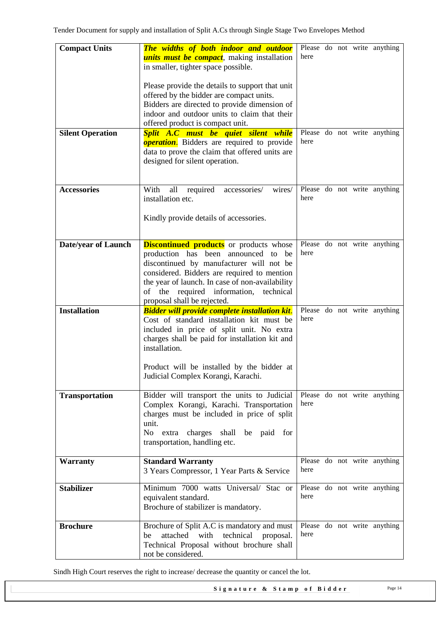| <b>Compact Units</b>       | The widths of both indoor and outdoor<br><i>units must be compact</i> , making installation<br>in smaller, tighter space possible.<br>Please provide the details to support that unit                                                                                                                              | here |  | Please do not write anything |
|----------------------------|--------------------------------------------------------------------------------------------------------------------------------------------------------------------------------------------------------------------------------------------------------------------------------------------------------------------|------|--|------------------------------|
|                            | offered by the bidder are compact units.<br>Bidders are directed to provide dimension of<br>indoor and outdoor units to claim that their<br>offered product is compact unit.                                                                                                                                       |      |  |                              |
| <b>Silent Operation</b>    | Split A.C must be quiet silent while<br><b>operation.</b> Bidders are required to provide<br>data to prove the claim that offered units are<br>designed for silent operation.                                                                                                                                      | here |  | Please do not write anything |
| <b>Accessories</b>         | With<br>all<br>required<br>accessories/<br>wires/<br>installation etc.<br>Kindly provide details of accessories.                                                                                                                                                                                                   | here |  | Please do not write anything |
| <b>Date/year of Launch</b> | <b>Discontinued products</b> or products whose<br>production has been announced<br>be<br>to<br>discontinued by manufacturer will not be<br>considered. Bidders are required to mention<br>the year of launch. In case of non-availability<br>of the required information, technical<br>proposal shall be rejected. | here |  | Please do not write anything |
| <b>Installation</b>        | <b>Bidder will provide complete installation kit.</b><br>Cost of standard installation kit must be<br>included in price of split unit. No extra<br>charges shall be paid for installation kit and<br>installation.<br>Product will be installed by the bidder at<br>Judicial Complex Korangi, Karachi.             | here |  | Please do not write anything |
| <b>Transportation</b>      | Bidder will transport the units to Judicial<br>Complex Korangi, Karachi. Transportation<br>charges must be included in price of split<br>unit.<br>No extra charges shall<br>be paid for<br>transportation, handling etc.                                                                                           | here |  | Please do not write anything |
| <b>Warranty</b>            | <b>Standard Warranty</b><br>3 Years Compressor, 1 Year Parts & Service                                                                                                                                                                                                                                             | here |  | Please do not write anything |
| <b>Stabilizer</b>          | Minimum 7000 watts Universal/ Stac or<br>equivalent standard.<br>Brochure of stabilizer is mandatory.                                                                                                                                                                                                              | here |  | Please do not write anything |
| <b>Brochure</b>            | Brochure of Split A.C is mandatory and must<br>technical<br>attached<br>with<br>be<br>proposal.<br>Technical Proposal without brochure shall<br>not be considered.                                                                                                                                                 | here |  | Please do not write anything |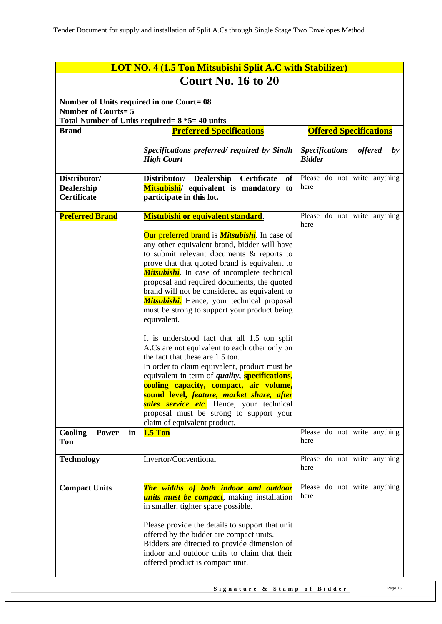|                                                  | <b>LOT NO. 4 (1.5 Ton Mitsubishi Split A.C with Stabilizer)</b>                                                                                                                                                                                                                                                                                                                                                                                                         |                                                                          |  |  |  |  |  |
|--------------------------------------------------|-------------------------------------------------------------------------------------------------------------------------------------------------------------------------------------------------------------------------------------------------------------------------------------------------------------------------------------------------------------------------------------------------------------------------------------------------------------------------|--------------------------------------------------------------------------|--|--|--|--|--|
|                                                  | <b>Court No. 16 to 20</b>                                                                                                                                                                                                                                                                                                                                                                                                                                               |                                                                          |  |  |  |  |  |
|                                                  | Number of Units required in one Court= 08                                                                                                                                                                                                                                                                                                                                                                                                                               |                                                                          |  |  |  |  |  |
| <b>Number of Courts=5</b>                        | Total Number of Units required= 8 *5= 40 units                                                                                                                                                                                                                                                                                                                                                                                                                          |                                                                          |  |  |  |  |  |
| <b>Brand</b>                                     | <b>Preferred Specifications</b>                                                                                                                                                                                                                                                                                                                                                                                                                                         | <b>Offered Specifications</b>                                            |  |  |  |  |  |
|                                                  | Specifications preferred/ required by Sindh<br><b>High Court</b>                                                                                                                                                                                                                                                                                                                                                                                                        | <b>Specifications</b><br><i>offered</i><br>$\mathbf{b}$<br><b>Bidder</b> |  |  |  |  |  |
| Distributor/<br><b>Dealership</b><br>Certificate | Distributor/ Dealership<br>Certificate<br>of<br>Mitsubishi/ equivalent is mandatory to<br>participate in this lot.                                                                                                                                                                                                                                                                                                                                                      | Please do not write anything<br>here                                     |  |  |  |  |  |
| <b>Preferred Brand</b>                           | Mistubishi or equivalent standard.                                                                                                                                                                                                                                                                                                                                                                                                                                      | Please do not write anything<br>here                                     |  |  |  |  |  |
|                                                  | Our preferred brand is <b>Mitsubishi</b> . In case of<br>any other equivalent brand, bidder will have<br>to submit relevant documents & reports to<br>prove that that quoted brand is equivalent to<br><b>Mitsubishi</b> . In case of incomplete technical<br>proposal and required documents, the quoted<br>brand will not be considered as equivalent to<br>Mitsubishi. Hence, your technical proposal<br>must be strong to support your product being<br>equivalent. |                                                                          |  |  |  |  |  |
|                                                  | It is understood fact that all 1.5 ton split<br>A.Cs are not equivalent to each other only on<br>the fact that these are 1.5 ton.<br>In order to claim equivalent, product must be<br>equivalent in term of <i>quality</i> , <b>specifications</b> ,<br>cooling capacity, compact, air volume,<br>sound level, feature, market share, after<br>sales service etc. Hence, your technical<br>proposal must be strong to support your<br>claim of equivalent product.      |                                                                          |  |  |  |  |  |
| Cooling<br><b>Power</b><br>in<br>Ton             | <b>1.5 Ton</b>                                                                                                                                                                                                                                                                                                                                                                                                                                                          | Please do not write anything<br>here                                     |  |  |  |  |  |
| <b>Technology</b>                                | Invertor/Conventional                                                                                                                                                                                                                                                                                                                                                                                                                                                   | Please do not write anything<br>here                                     |  |  |  |  |  |
| <b>Compact Units</b>                             | The widths of both indoor and outdoor<br><i>units must be compact</i> , making installation<br>in smaller, tighter space possible.<br>Please provide the details to support that unit<br>offered by the bidder are compact units.<br>Bidders are directed to provide dimension of<br>indoor and outdoor units to claim that their<br>offered product is compact unit.                                                                                                   | Please do not write anything<br>here                                     |  |  |  |  |  |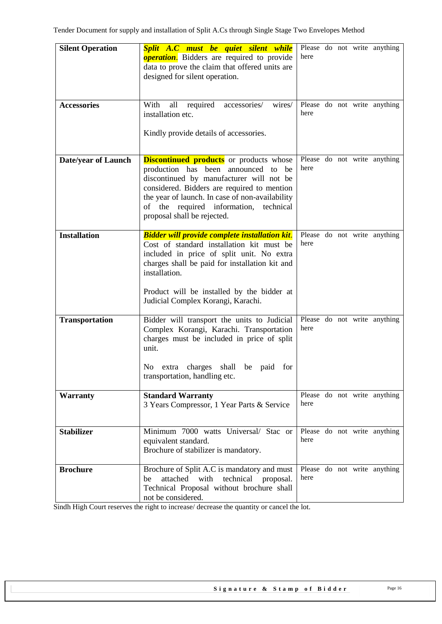| <b>Silent Operation</b> | Split A.C must be quiet silent while<br><b>operation</b> . Bidders are required to provide<br>data to prove the claim that offered units are<br>designed for silent operation.                                                                                                                               | here |  | Please do not write anything |
|-------------------------|--------------------------------------------------------------------------------------------------------------------------------------------------------------------------------------------------------------------------------------------------------------------------------------------------------------|------|--|------------------------------|
| <b>Accessories</b>      | With<br>all<br>required<br>accessories/<br>wires/<br>installation etc.<br>Kindly provide details of accessories.                                                                                                                                                                                             | here |  | Please do not write anything |
| Date/year of Launch     | <b>Discontinued products</b> or products whose<br>production has been announced to be<br>discontinued by manufacturer will not be<br>considered. Bidders are required to mention<br>the year of launch. In case of non-availability<br>of the required information, technical<br>proposal shall be rejected. | here |  | Please do not write anything |
| <b>Installation</b>     | <b>Bidder will provide complete installation kit.</b><br>Cost of standard installation kit must be<br>included in price of split unit. No extra<br>charges shall be paid for installation kit and<br>installation.<br>Product will be installed by the bidder at<br>Judicial Complex Korangi, Karachi.       | here |  | Please do not write anything |
| <b>Transportation</b>   | Bidder will transport the units to Judicial<br>Complex Korangi, Karachi. Transportation<br>charges must be included in price of split<br>unit.<br>shall be paid for<br>N <sub>0</sub><br>extra charges<br>transportation, handling etc.                                                                      | here |  | Please do not write anything |
| <b>Warranty</b>         | <b>Standard Warranty</b><br>3 Years Compressor, 1 Year Parts & Service                                                                                                                                                                                                                                       | here |  | Please do not write anything |
| <b>Stabilizer</b>       | Minimum 7000 watts Universal/ Stac or<br>equivalent standard.<br>Brochure of stabilizer is mandatory.                                                                                                                                                                                                        | here |  | Please do not write anything |
| <b>Brochure</b>         | Brochure of Split A.C is mandatory and must<br>attached<br>with<br>technical<br>proposal.<br>be<br>Technical Proposal without brochure shall<br>not be considered.                                                                                                                                           | here |  | Please do not write anything |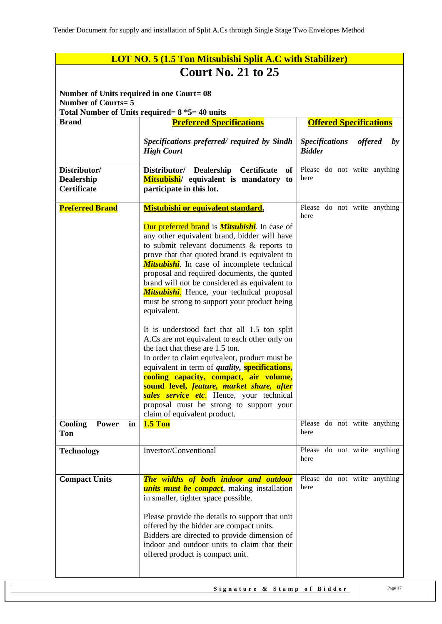| <b>LOT NO. 5 (1.5 Ton Mitsubishi Split A.C with Stabilizer)</b>       |                                                                                                                                                                                                                                                                                                                                                                                                                                                                                                                                                                                                                                                                                                                                                                                                                                                                                                                      |                                                                          |  |  |  |
|-----------------------------------------------------------------------|----------------------------------------------------------------------------------------------------------------------------------------------------------------------------------------------------------------------------------------------------------------------------------------------------------------------------------------------------------------------------------------------------------------------------------------------------------------------------------------------------------------------------------------------------------------------------------------------------------------------------------------------------------------------------------------------------------------------------------------------------------------------------------------------------------------------------------------------------------------------------------------------------------------------|--------------------------------------------------------------------------|--|--|--|
|                                                                       | <b>Court No. 21 to 25</b>                                                                                                                                                                                                                                                                                                                                                                                                                                                                                                                                                                                                                                                                                                                                                                                                                                                                                            |                                                                          |  |  |  |
| Number of Units required in one Court=08<br><b>Number of Courts=5</b> |                                                                                                                                                                                                                                                                                                                                                                                                                                                                                                                                                                                                                                                                                                                                                                                                                                                                                                                      |                                                                          |  |  |  |
| <b>Brand</b>                                                          | Total Number of Units required = $8 *5 = 40$ units<br><b>Preferred Specifications</b>                                                                                                                                                                                                                                                                                                                                                                                                                                                                                                                                                                                                                                                                                                                                                                                                                                | <b>Offered Specifications</b>                                            |  |  |  |
|                                                                       | Specifications preferred/ required by Sindh<br><b>High Court</b>                                                                                                                                                                                                                                                                                                                                                                                                                                                                                                                                                                                                                                                                                                                                                                                                                                                     | <b>Specifications</b><br><i>offered</i><br>$\mathbf{b}$<br><b>Bidder</b> |  |  |  |
| Distributor/<br><b>Dealership</b><br>Certificate                      | <b>Certificate</b><br>Distributor/ Dealership<br>of<br>Mitsubishi/ equivalent is mandatory to<br>participate in this lot.                                                                                                                                                                                                                                                                                                                                                                                                                                                                                                                                                                                                                                                                                                                                                                                            | Please do not write anything<br>here                                     |  |  |  |
| <b>Preferred Brand</b>                                                | Mistubishi or equivalent standard.                                                                                                                                                                                                                                                                                                                                                                                                                                                                                                                                                                                                                                                                                                                                                                                                                                                                                   | Please do not write anything                                             |  |  |  |
|                                                                       | Our preferred brand is <i>Mitsubishi</i> . In case of<br>any other equivalent brand, bidder will have<br>to submit relevant documents & reports to<br>prove that that quoted brand is equivalent to<br><b>Mitsubishi</b> . In case of incomplete technical<br>proposal and required documents, the quoted<br>brand will not be considered as equivalent to<br><b>Mitsubishi.</b> Hence, your technical proposal<br>must be strong to support your product being<br>equivalent.<br>It is understood fact that all 1.5 ton split<br>A.Cs are not equivalent to each other only on<br>the fact that these are 1.5 ton.<br>In order to claim equivalent, product must be<br>equivalent in term of <i>quality</i> , <b>specifications</b> ,<br>cooling capacity, compact, air volume,<br>sound level, feature, market share, after<br>sales service etc. Hence, your technical<br>proposal must be strong to support your | here                                                                     |  |  |  |
| Cooling<br><b>Power</b><br>in                                         | claim of equivalent product.<br><b>1.5 Ton</b>                                                                                                                                                                                                                                                                                                                                                                                                                                                                                                                                                                                                                                                                                                                                                                                                                                                                       | Please do not write anything                                             |  |  |  |
| Ton                                                                   |                                                                                                                                                                                                                                                                                                                                                                                                                                                                                                                                                                                                                                                                                                                                                                                                                                                                                                                      | here                                                                     |  |  |  |
| <b>Technology</b>                                                     | Invertor/Conventional                                                                                                                                                                                                                                                                                                                                                                                                                                                                                                                                                                                                                                                                                                                                                                                                                                                                                                | Please do not write anything<br>here                                     |  |  |  |
| <b>Compact Units</b>                                                  | The widths of both indoor and outdoor<br><i>units must be compact</i> , making installation<br>in smaller, tighter space possible.<br>Please provide the details to support that unit<br>offered by the bidder are compact units.<br>Bidders are directed to provide dimension of<br>indoor and outdoor units to claim that their<br>offered product is compact unit.                                                                                                                                                                                                                                                                                                                                                                                                                                                                                                                                                | Please do not write anything<br>here                                     |  |  |  |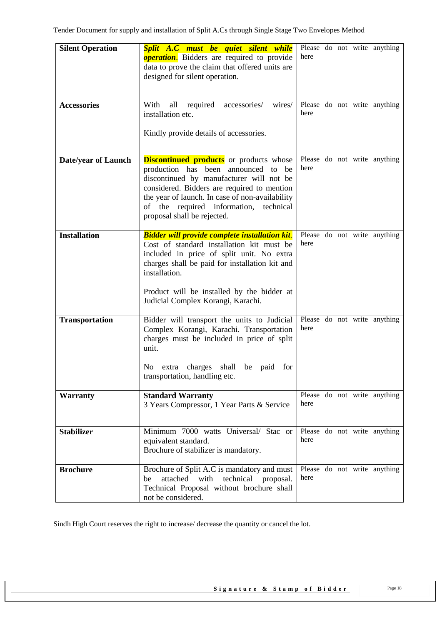| <b>Silent Operation</b>    | Split A.C must be quiet silent while<br><b>operation.</b> Bidders are required to provide<br>data to prove the claim that offered units are<br>designed for silent operation.                                                                                                                                | here |  | Please do not write anything |
|----------------------------|--------------------------------------------------------------------------------------------------------------------------------------------------------------------------------------------------------------------------------------------------------------------------------------------------------------|------|--|------------------------------|
| <b>Accessories</b>         | With<br>accessories/<br>all<br>required<br>wires/<br>installation etc.<br>Kindly provide details of accessories.                                                                                                                                                                                             | here |  | Please do not write anything |
| <b>Date/year of Launch</b> | <b>Discontinued products</b> or products whose<br>production has been announced to be<br>discontinued by manufacturer will not be<br>considered. Bidders are required to mention<br>the year of launch. In case of non-availability<br>of the required information, technical<br>proposal shall be rejected. | here |  | Please do not write anything |
| <b>Installation</b>        | <b>Bidder will provide complete installation kit.</b><br>Cost of standard installation kit must be<br>included in price of split unit. No extra<br>charges shall be paid for installation kit and<br>installation.<br>Product will be installed by the bidder at<br>Judicial Complex Korangi, Karachi.       | here |  | Please do not write anything |
| <b>Transportation</b>      | Bidder will transport the units to Judicial<br>Complex Korangi, Karachi. Transportation<br>charges must be included in price of split<br>unit.<br>shall be paid for<br>N <sub>0</sub><br>extra charges<br>transportation, handling etc.                                                                      | here |  | Please do not write anything |
| <b>Warranty</b>            | <b>Standard Warranty</b><br>3 Years Compressor, 1 Year Parts & Service                                                                                                                                                                                                                                       | here |  | Please do not write anything |
| <b>Stabilizer</b>          | Minimum 7000 watts Universal/ Stac or<br>equivalent standard.<br>Brochure of stabilizer is mandatory.                                                                                                                                                                                                        | here |  | Please do not write anything |
| <b>Brochure</b>            | Brochure of Split A.C is mandatory and must<br>with<br>technical<br>attached<br>proposal.<br>be<br>Technical Proposal without brochure shall<br>not be considered.                                                                                                                                           | here |  | Please do not write anything |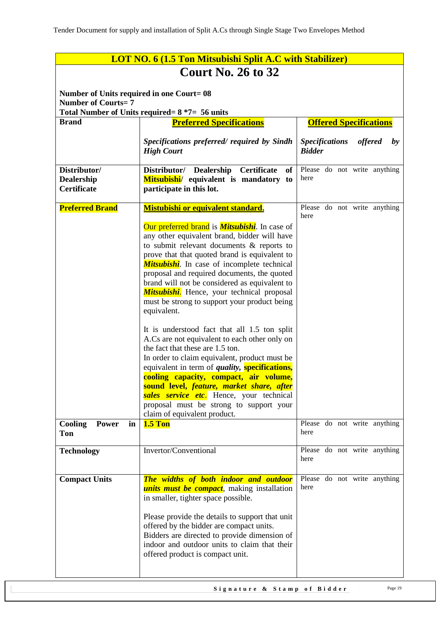| <b>LOT NO. 6 (1.5 Ton Mitsubishi Split A.C with Stabilizer)</b>        |                                                                                                                                                                                                                                                                                                                                                                                                                                                                                                                                                                                                                                                                                                                                                                                                                                                                                                                                                      |                                                                          |  |  |  |  |
|------------------------------------------------------------------------|------------------------------------------------------------------------------------------------------------------------------------------------------------------------------------------------------------------------------------------------------------------------------------------------------------------------------------------------------------------------------------------------------------------------------------------------------------------------------------------------------------------------------------------------------------------------------------------------------------------------------------------------------------------------------------------------------------------------------------------------------------------------------------------------------------------------------------------------------------------------------------------------------------------------------------------------------|--------------------------------------------------------------------------|--|--|--|--|
|                                                                        | <b>Court No. 26 to 32</b>                                                                                                                                                                                                                                                                                                                                                                                                                                                                                                                                                                                                                                                                                                                                                                                                                                                                                                                            |                                                                          |  |  |  |  |
| Number of Units required in one Court= 08<br><b>Number of Courts=7</b> |                                                                                                                                                                                                                                                                                                                                                                                                                                                                                                                                                                                                                                                                                                                                                                                                                                                                                                                                                      |                                                                          |  |  |  |  |
|                                                                        | Total Number of Units required = $8*7=56$ units                                                                                                                                                                                                                                                                                                                                                                                                                                                                                                                                                                                                                                                                                                                                                                                                                                                                                                      |                                                                          |  |  |  |  |
| <b>Brand</b>                                                           | <b>Offered Specifications</b><br><b>Preferred Specifications</b>                                                                                                                                                                                                                                                                                                                                                                                                                                                                                                                                                                                                                                                                                                                                                                                                                                                                                     |                                                                          |  |  |  |  |
|                                                                        | Specifications preferred/ required by Sindh<br><b>High Court</b>                                                                                                                                                                                                                                                                                                                                                                                                                                                                                                                                                                                                                                                                                                                                                                                                                                                                                     | <b>Specifications</b><br><i>offered</i><br>$\mathbf{b}$<br><b>Bidder</b> |  |  |  |  |
| Distributor/<br><b>Dealership</b><br>Certificate                       | <b>Certificate</b><br>Distributor/ Dealership<br>of<br>Mitsubishi/ equivalent is mandatory to<br>participate in this lot.                                                                                                                                                                                                                                                                                                                                                                                                                                                                                                                                                                                                                                                                                                                                                                                                                            | Please do not write anything<br>here                                     |  |  |  |  |
| <b>Preferred Brand</b>                                                 | Mistubishi or equivalent standard.                                                                                                                                                                                                                                                                                                                                                                                                                                                                                                                                                                                                                                                                                                                                                                                                                                                                                                                   | Please do not write anything                                             |  |  |  |  |
|                                                                        | Our preferred brand is <i>Mitsubishi</i> . In case of<br>any other equivalent brand, bidder will have<br>to submit relevant documents & reports to<br>prove that that quoted brand is equivalent to<br><b>Mitsubishi</b> . In case of incomplete technical<br>proposal and required documents, the quoted<br>brand will not be considered as equivalent to<br><b>Mitsubishi.</b> Hence, your technical proposal<br>must be strong to support your product being<br>equivalent.<br>It is understood fact that all 1.5 ton split<br>A.Cs are not equivalent to each other only on<br>the fact that these are 1.5 ton.<br>In order to claim equivalent, product must be<br>equivalent in term of <i>quality</i> , <b>specifications</b> ,<br>cooling capacity, compact, air volume,<br>sound level, feature, market share, after<br>sales service etc. Hence, your technical<br>proposal must be strong to support your<br>claim of equivalent product. | here                                                                     |  |  |  |  |
| Cooling<br><b>Power</b><br>in                                          | <b>1.5 Ton</b>                                                                                                                                                                                                                                                                                                                                                                                                                                                                                                                                                                                                                                                                                                                                                                                                                                                                                                                                       | Please do not write anything<br>here                                     |  |  |  |  |
| Ton                                                                    |                                                                                                                                                                                                                                                                                                                                                                                                                                                                                                                                                                                                                                                                                                                                                                                                                                                                                                                                                      |                                                                          |  |  |  |  |
| <b>Technology</b>                                                      | Invertor/Conventional                                                                                                                                                                                                                                                                                                                                                                                                                                                                                                                                                                                                                                                                                                                                                                                                                                                                                                                                | Please do not write anything<br>here                                     |  |  |  |  |
| <b>Compact Units</b>                                                   | The widths of both indoor and outdoor<br><i>units must be compact</i> , making installation<br>in smaller, tighter space possible.<br>Please provide the details to support that unit<br>offered by the bidder are compact units.<br>Bidders are directed to provide dimension of<br>indoor and outdoor units to claim that their<br>offered product is compact unit.                                                                                                                                                                                                                                                                                                                                                                                                                                                                                                                                                                                | Please do not write anything<br>here                                     |  |  |  |  |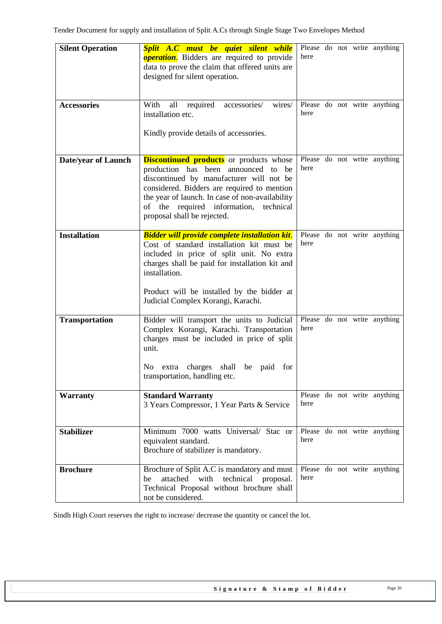| <b>Silent Operation</b>    | Split A.C must be quiet silent while<br><b>operation.</b> Bidders are required to provide<br>data to prove the claim that offered units are<br>designed for silent operation.                                                                                                                                | here |  | Please do not write anything |
|----------------------------|--------------------------------------------------------------------------------------------------------------------------------------------------------------------------------------------------------------------------------------------------------------------------------------------------------------|------|--|------------------------------|
| <b>Accessories</b>         | With<br>accessories/<br>all<br>required<br>wires/<br>installation etc.<br>Kindly provide details of accessories.                                                                                                                                                                                             | here |  | Please do not write anything |
| <b>Date/year of Launch</b> | <b>Discontinued products</b> or products whose<br>production has been announced to be<br>discontinued by manufacturer will not be<br>considered. Bidders are required to mention<br>the year of launch. In case of non-availability<br>of the required information, technical<br>proposal shall be rejected. | here |  | Please do not write anything |
| <b>Installation</b>        | <b>Bidder will provide complete installation kit.</b><br>Cost of standard installation kit must be<br>included in price of split unit. No extra<br>charges shall be paid for installation kit and<br>installation.<br>Product will be installed by the bidder at<br>Judicial Complex Korangi, Karachi.       | here |  | Please do not write anything |
| <b>Transportation</b>      | Bidder will transport the units to Judicial<br>Complex Korangi, Karachi. Transportation<br>charges must be included in price of split<br>unit.<br>shall be paid for<br>N <sub>0</sub><br>extra charges<br>transportation, handling etc.                                                                      | here |  | Please do not write anything |
| <b>Warranty</b>            | <b>Standard Warranty</b><br>3 Years Compressor, 1 Year Parts & Service                                                                                                                                                                                                                                       | here |  | Please do not write anything |
| <b>Stabilizer</b>          | Minimum 7000 watts Universal/ Stac or<br>equivalent standard.<br>Brochure of stabilizer is mandatory.                                                                                                                                                                                                        | here |  | Please do not write anything |
| <b>Brochure</b>            | Brochure of Split A.C is mandatory and must<br>with<br>technical<br>attached<br>proposal.<br>be<br>Technical Proposal without brochure shall<br>not be considered.                                                                                                                                           | here |  | Please do not write anything |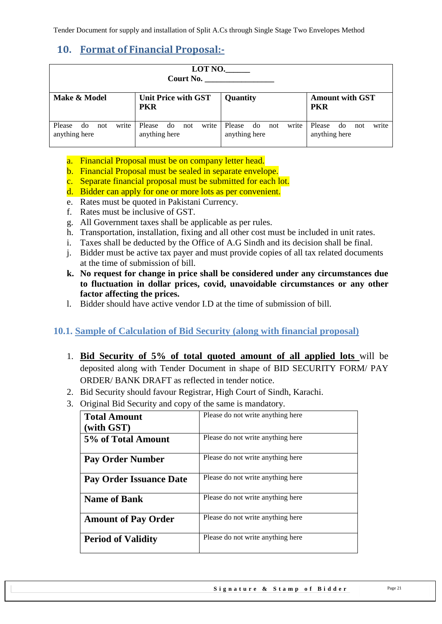# <span id="page-20-0"></span>**10. Format of Financial Proposal:-**

| LOTN0.<br>Court No.                           |                                               |                                                |                                               |  |  |  |
|-----------------------------------------------|-----------------------------------------------|------------------------------------------------|-----------------------------------------------|--|--|--|
| Make & Model                                  | <b>Unit Price with GST</b><br><b>PKR</b>      | <b>Quantity</b>                                | <b>Amount with GST</b><br><b>PKR</b>          |  |  |  |
| write<br>Please<br>do<br>not<br>anything here | write<br>Please<br>do<br>not<br>anything here | write<br>Please<br>not<br>do.<br>anything here | write<br>Please<br>do<br>not<br>anything here |  |  |  |

- a. Financial Proposal must be on company letter head.
- b. Financial Proposal must be sealed in separate envelope.
- c. Separate financial proposal must be submitted for each lot.
- d. Bidder can apply for one or more lots as per convenient.
- e. Rates must be quoted in Pakistani Currency.
- f. Rates must be inclusive of GST.
- g. All Government taxes shall be applicable as per rules.
- h. Transportation, installation, fixing and all other cost must be included in unit rates.
- i. Taxes shall be deducted by the Office of A.G Sindh and its decision shall be final.
- j. Bidder must be active tax payer and must provide copies of all tax related documents at the time of submission of bill.
- **k. No request for change in price shall be considered under any circumstances due to fluctuation in dollar prices, covid, unavoidable circumstances or any other factor affecting the prices.**
- l. Bidder should have active vendor I.D at the time of submission of bill.

### <span id="page-20-1"></span>**10.1. Sample of Calculation of Bid Security (along with financial proposal)**

- 1. **Bid Security of 5% of total quoted amount of all applied lots** will be deposited along with Tender Document in shape of BID SECURITY FORM/ PAY ORDER/ BANK DRAFT as reflected in tender notice.
- 2. Bid Security should favour Registrar, High Court of Sindh, Karachi.
- 3. Original Bid Security and copy of the same is mandatory.

| <b>Total Amount</b>        | Please do not write anything here |
|----------------------------|-----------------------------------|
| (with GST)                 |                                   |
| 5% of Total Amount         | Please do not write anything here |
| <b>Pay Order Number</b>    | Please do not write anything here |
| Pay Order Issuance Date    | Please do not write anything here |
| <b>Name of Bank</b>        | Please do not write anything here |
| <b>Amount of Pay Order</b> | Please do not write anything here |
| <b>Period of Validity</b>  | Please do not write anything here |
|                            |                                   |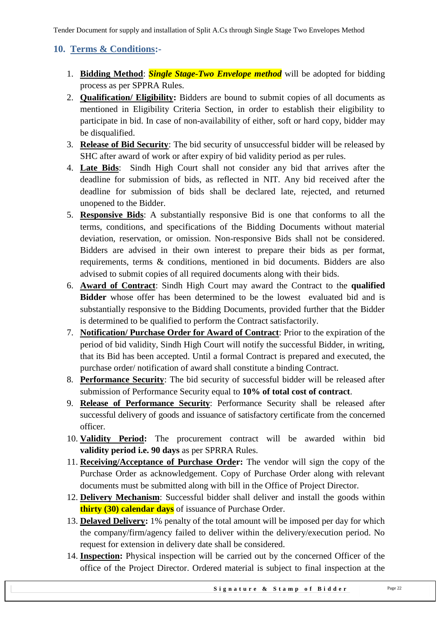# <span id="page-21-0"></span>**10. Terms & Conditions:-**

- 1. **Bidding Method**: *Single Stage-Two Envelope method* will be adopted for bidding process as per SPPRA Rules.
- 2. **Qualification/ Eligibility:** Bidders are bound to submit copies of all documents as mentioned in Eligibility Criteria Section, in order to establish their eligibility to participate in bid. In case of non-availability of either, soft or hard copy, bidder may be disqualified.
- 3. **Release of Bid Security**: The bid security of unsuccessful bidder will be released by SHC after award of work or after expiry of bid validity period as per rules.
- 4. **Late Bids**: Sindh High Court shall not consider any bid that arrives after the deadline for submission of bids, as reflected in NIT. Any bid received after the deadline for submission of bids shall be declared late, rejected, and returned unopened to the Bidder.
- 5. **Responsive Bids**: A substantially responsive Bid is one that conforms to all the terms, conditions, and specifications of the Bidding Documents without material deviation, reservation, or omission. Non-responsive Bids shall not be considered. Bidders are advised in their own interest to prepare their bids as per format, requirements, terms & conditions, mentioned in bid documents. Bidders are also advised to submit copies of all required documents along with their bids.
- 6. **Award of Contract**: Sindh High Court may award the Contract to the **qualified Bidder** whose offer has been determined to be the lowest evaluated bid and is substantially responsive to the Bidding Documents, provided further that the Bidder is determined to be qualified to perform the Contract satisfactorily.
- 7. **Notification/ Purchase Order for Award of Contract**: Prior to the expiration of the period of bid validity, Sindh High Court will notify the successful Bidder, in writing, that its Bid has been accepted. Until a formal Contract is prepared and executed, the purchase order/ notification of award shall constitute a binding Contract.
- 8. **Performance Security**: The bid security of successful bidder will be released after submission of Performance Security equal to **10% of total cost of contract**.
- 9. **Release of Performance Security**: Performance Security shall be released after successful delivery of goods and issuance of satisfactory certificate from the concerned officer.
- 10. **Validity Period:** The procurement contract will be awarded within bid **validity period i.e. 90 days** as per SPRRA Rules.
- 11. **Receiving/Acceptance of Purchase Order:** The vendor will sign the copy of the Purchase Order as acknowledgement. Copy of Purchase Order along with relevant documents must be submitted along with bill in the Office of Project Director.
- 12. **Delivery Mechanism**: Successful bidder shall deliver and install the goods within **thirty (30) calendar days** of issuance of Purchase Order.
- 13. **Delayed Delivery:** 1% penalty of the total amount will be imposed per day for which the company/firm/agency failed to deliver within the delivery/execution period. No request for extension in delivery date shall be considered.
- 14. **Inspection:** Physical inspection will be carried out by the concerned Officer of the office of the Project Director. Ordered material is subject to final inspection at the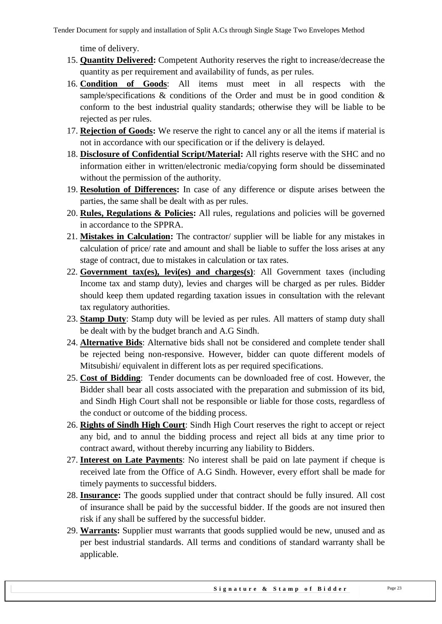time of delivery.

- 15. **Quantity Delivered:** Competent Authority reserves the right to increase/decrease the quantity as per requirement and availability of funds, as per rules.
- 16. **Condition of Goods**: All items must meet in all respects with the sample/specifications & conditions of the Order and must be in good condition & conform to the best industrial quality standards; otherwise they will be liable to be rejected as per rules.
- 17. **Rejection of Goods:** We reserve the right to cancel any or all the items if material is not in accordance with our specification or if the delivery is delayed.
- 18. **Disclosure of Confidential Script/Material:** All rights reserve with the SHC and no information either in written/electronic media/copying form should be disseminated without the permission of the authority.
- 19. **Resolution of Differences:** In case of any difference or dispute arises between the parties, the same shall be dealt with as per rules.
- 20. **Rules, Regulations & Policies:** All rules, regulations and policies will be governed in accordance to the SPPRA.
- 21. **Mistakes in Calculation:** The contractor/ supplier will be liable for any mistakes in calculation of price/ rate and amount and shall be liable to suffer the loss arises at any stage of contract, due to mistakes in calculation or tax rates.
- 22. **Government tax(es), levi(es) and charges(s)**: All Government taxes (including Income tax and stamp duty), levies and charges will be charged as per rules. Bidder should keep them updated regarding taxation issues in consultation with the relevant tax regulatory authorities.
- 23. **Stamp Duty**: Stamp duty will be levied as per rules. All matters of stamp duty shall be dealt with by the budget branch and A.G Sindh.
- 24. **Alternative Bids**: Alternative bids shall not be considered and complete tender shall be rejected being non-responsive. However, bidder can quote different models of Mitsubishi/ equivalent in different lots as per required specifications.
- 25. **Cost of Bidding**: Tender documents can be downloaded free of cost. However, the Bidder shall bear all costs associated with the preparation and submission of its bid, and Sindh High Court shall not be responsible or liable for those costs, regardless of the conduct or outcome of the bidding process.
- 26. **Rights of Sindh High Court**: Sindh High Court reserves the right to accept or reject any bid, and to annul the bidding process and reject all bids at any time prior to contract award, without thereby incurring any liability to Bidders.
- 27. **Interest on Late Payments**: No interest shall be paid on late payment if cheque is received late from the Office of A.G Sindh. However, every effort shall be made for timely payments to successful bidders.
- 28. **Insurance:** The goods supplied under that contract should be fully insured. All cost of insurance shall be paid by the successful bidder. If the goods are not insured then risk if any shall be suffered by the successful bidder.
- 29. **Warrants:** Supplier must warrants that goods supplied would be new, unused and as per best industrial standards. All terms and conditions of standard warranty shall be applicable.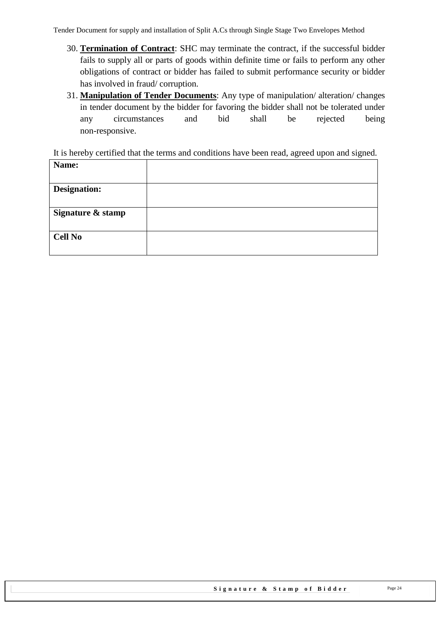- 30. **Termination of Contract**: SHC may terminate the contract, if the successful bidder fails to supply all or parts of goods within definite time or fails to perform any other obligations of contract or bidder has failed to submit performance security or bidder has involved in fraud/ corruption.
- 31. **Manipulation of Tender Documents**: Any type of manipulation/ alteration/ changes in tender document by the bidder for favoring the bidder shall not be tolerated under any circumstances and bid shall be rejected being non-responsive.

It is hereby certified that the terms and conditions have been read, agreed upon and signed.

| Name:               |  |
|---------------------|--|
| <b>Designation:</b> |  |
| Signature & stamp   |  |
| <b>Cell No</b>      |  |